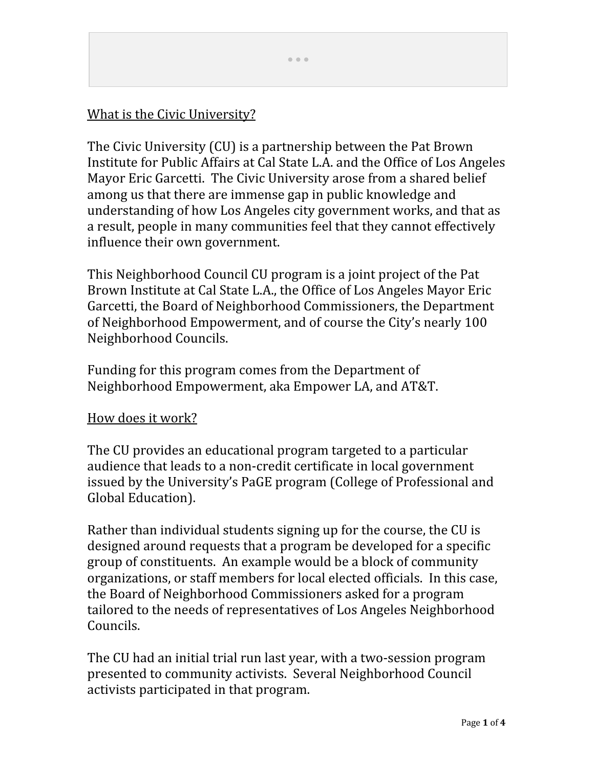# What is the Civic University?

The Civic University (CU) is a partnership between the Pat Brown Institute for Public Affairs at Cal State L.A. and the Office of Los Angeles Mayor Eric Garcetti. The Civic University arose from a shared belief among us that there are immense gap in public knowledge and understanding of how Los Angeles city government works, and that as a result, people in many communities feel that they cannot effectively influence their own government.

 $-0.00$ 

This Neighborhood Council CU program is a joint project of the Pat Brown Institute at Cal State L.A., the Office of Los Angeles Mayor Eric Garcetti, the Board of Neighborhood Commissioners, the Department of Neighborhood Empowerment, and of course the City's nearly 100 Neighborhood Councils.

Funding for this program comes from the Department of Neighborhood Empowerment, aka Empower LA, and AT&T.

#### How does it work?

The CU provides an educational program targeted to a particular audience that leads to a non-credit certificate in local government issued by the University's PaGE program (College of Professional and Global Education).

Rather than individual students signing up for the course, the CU is designed around requests that a program be developed for a specific group of constituents. An example would be a block of community organizations, or staff members for local elected officials. In this case, the Board of Neighborhood Commissioners asked for a program tailored to the needs of representatives of Los Angeles Neighborhood Councils.

The CU had an initial trial run last year, with a two-session program presented to community activists. Several Neighborhood Council activists participated in that program.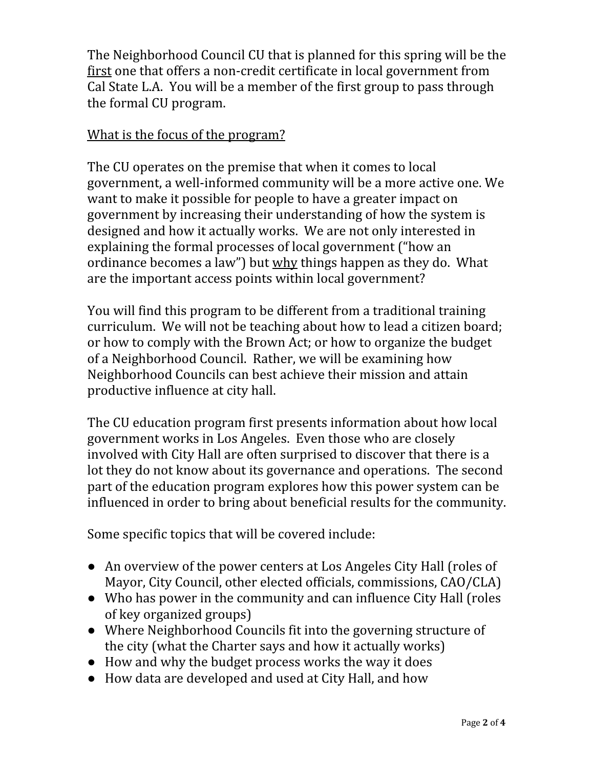The Neighborhood Council CU that is planned for this spring will be the first one that offers a non-credit certificate in local government from Cal State L.A. You will be a member of the first group to pass through the formal CU program.

#### What is the focus of the program?

The CU operates on the premise that when it comes to local government, a well-informed community will be a more active one. We want to make it possible for people to have a greater impact on government by increasing their understanding of how the system is designed and how it actually works. We are not only interested in explaining the formal processes of local government ("how an ordinance becomes a law") but why things happen as they do. What are the important access points within local government?

You will find this program to be different from a traditional training curriculum. We will not be teaching about how to lead a citizen board; or how to comply with the Brown Act; or how to organize the budget of a Neighborhood Council. Rather, we will be examining how Neighborhood Councils can best achieve their mission and attain productive influence at city hall.

The CU education program first presents information about how local government works in Los Angeles. Even those who are closely involved with City Hall are often surprised to discover that there is a lot they do not know about its governance and operations. The second part of the education program explores how this power system can be influenced in order to bring about beneficial results for the community.

Some specific topics that will be covered include:

- An overview of the power centers at Los Angeles City Hall (roles of Mayor, City Council, other elected officials, commissions, CAO/CLA)
- Who has power in the community and can influence City Hall (roles of key organized groups)
- Where Neighborhood Councils fit into the governing structure of the city (what the Charter says and how it actually works)
- How and why the budget process works the way it does
- How data are developed and used at City Hall, and how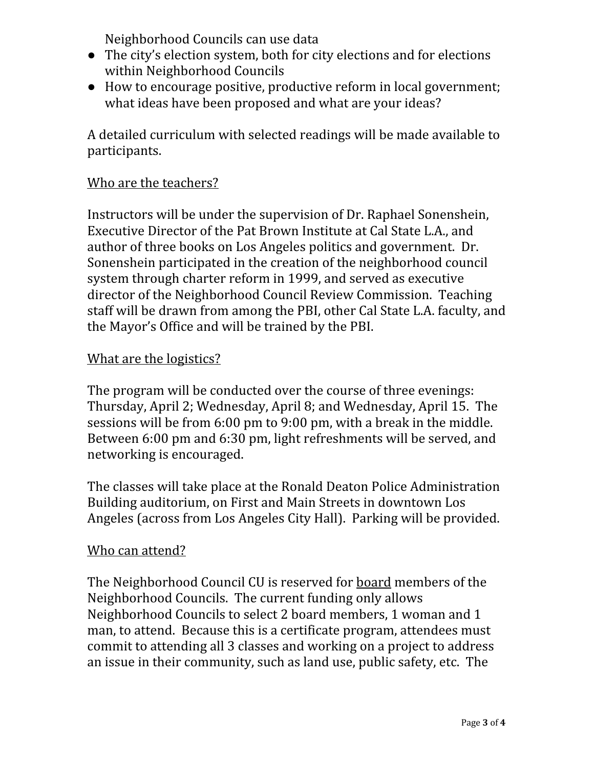Neighborhood Councils can use data

- The city's election system, both for city elections and for elections within Neighborhood Councils
- How to encourage positive, productive reform in local government; what ideas have been proposed and what are your ideas?

A detailed curriculum with selected readings will be made available to participants.

# Who are the teachers?

Instructors will be under the supervision of Dr. Raphael Sonenshein, Executive Director of the Pat Brown Institute at Cal State L.A., and author of three books on Los Angeles politics and government. Dr. Sonenshein participated in the creation of the neighborhood council system through charter reform in 1999, and served as executive director of the Neighborhood Council Review Commission. Teaching staff will be drawn from among the PBI, other Cal State L.A. faculty, and the Mayor's Office and will be trained by the PBI.

### What are the logistics?

The program will be conducted over the course of three evenings: Thursday, April 2; Wednesday, April 8; and Wednesday, April 15. The sessions will be from 6:00 pm to 9:00 pm, with a break in the middle. Between 6:00 pm and 6:30 pm, light refreshments will be served, and networking is encouraged.

The classes will take place at the Ronald Deaton Police Administration Building auditorium, on First and Main Streets in downtown Los Angeles (across from Los Angeles City Hall). Parking will be provided.

### Who can attend?

The Neighborhood Council CU is reserved for board members of the Neighborhood Councils. The current funding only allows Neighborhood Councils to select 2 board members, 1 woman and 1 man, to attend. Because this is a certificate program, attendees must commit to attending all 3 classes and working on a project to address an issue in their community, such as land use, public safety, etc. The